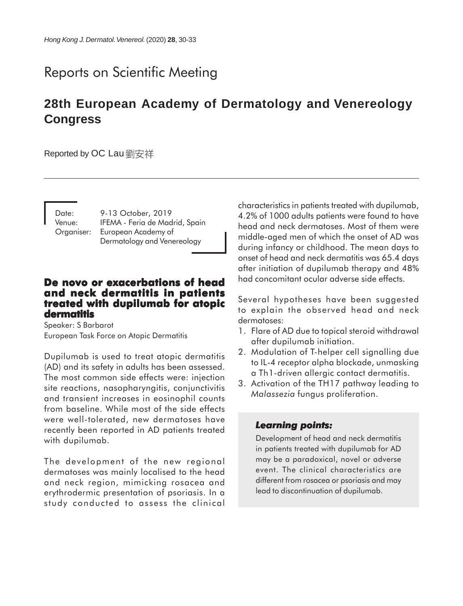# Reports on Scientific Meeting

# **28th European Academy of Dermatology and Venereology Congress**

Reported by OC Lau 劉安祥

Date: 9-13 October, 2019 Venue: IFEMA - Feria de Madrid, Spain Organiser: European Academy of Dermatology and Venereology

#### **De novo or exacerbations of head and neck dermatitis in patients treated with dupilumab for atopic dermatitis**

Speaker: S Barbarot European Task Force on Atopic Dermatitis

Dupilumab is used to treat atopic dermatitis (AD) and its safety in adults has been assessed. The most common side effects were: injection site reactions, nasopharyngitis, conjunctivitis and transient increases in eosinophil counts from baseline. While most of the side effects were well-tolerated, new dermatoses have recently been reported in AD patients treated with dupilumab.

The development of the new regional dermatoses was mainly localised to the head and neck region, mimicking rosacea and erythrodermic presentation of psoriasis. In a study conducted to assess the clinical characteristics in patients treated with dupilumab, 4.2% of 1000 adults patients were found to have head and neck dermatoses. Most of them were middle-aged men of which the onset of AD was during infancy or childhood. The mean days to onset of head and neck dermatitis was 65.4 days after initiation of dupilumab therapy and 48% had concomitant ocular adverse side effects.

Several hypotheses have been suggested to explain the observed head and neck dermatoses:

- 1. Flare of AD due to topical steroid withdrawal after dupilumab initiation.
- 2. Modulation of T-helper cell signalling due to IL-4 receptor alpha blockade, unmasking a Th1-driven allergic contact dermatitis.
- 3. Activation of the TH17 pathway leading to *Malassezia* fungus proliferation.

#### *Learning points: Learning points:*

Development of head and neck dermatitis in patients treated with dupilumab for AD may be a paradoxical, novel or adverse event. The clinical characteristics are different from rosacea or psoriasis and may lead to discontinuation of dupilumab.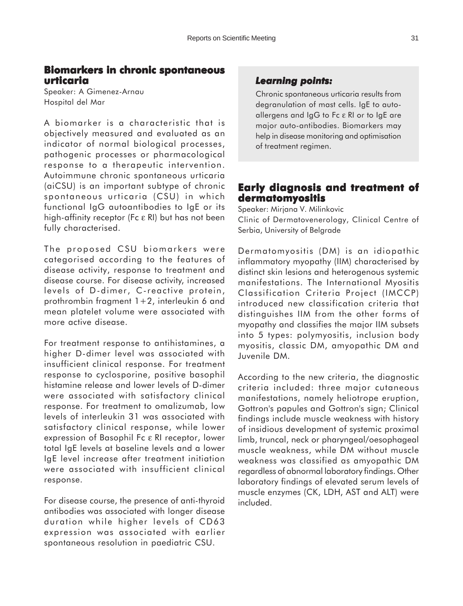#### **Biomarkers in chronic spontaneous urticaria**

Speaker: A Gimenez-Arnau Hospital del Mar

A biomarker is a characteristic that is objectively measured and evaluated as an indicator of normal biological processes, pathogenic processes or pharmacological response to a therapeutic intervention. Autoimmune chronic spontaneous urticaria (aiCSU) is an important subtype of chronic spontaneous urticaria (CSU) in which functional IgG autoantibodies to IgE or its high-affinity receptor (Fc ε RI) but has not been fully characterised.

The proposed CSU biomarkers were categorised according to the features of disease activity, response to treatment and disease course. For disease activity, increased levels of D-dimer, C-reactive protein, prothrombin fragment 1+2, interleukin 6 and mean platelet volume were associated with more active disease.

For treatment response to antihistamines, a higher D-dimer level was associated with insufficient clinical response. For treatment response to cyclosporine, positive basophil histamine release and lower levels of D-dimer were associated with satisfactory clinical response. For treatment to omalizumab, low levels of interleukin 31 was associated with satisfactory clinical response, while lower expression of Basophil Fc ε RI receptor, lower total IgE levels at baseline levels and a lower IgE level increase after treatment initiation were associated with insufficient clinical response.

For disease course, the presence of anti-thyroid antibodies was associated with longer disease duration while higher levels of CD63 expression was associated with earlier spontaneous resolution in paediatric CSU.

### *Learning points: Learning points:*

Chronic spontaneous urticaria results from degranulation of mast cells. IgE to autoallergens and IgG to Fc ε RI or to IgE are major auto-antibodies. Biomarkers may help in disease monitoring and optimisation of treatment regimen.

# **Early diagnosis and treatment of dermatomyositis**

Speaker: Mirjana V. Milinkovic Clinic of Dermatovenerology, Clinical Centre of Serbia, University of Belgrade

Dermatomyositis (DM) is an idiopathic inflammatory myopathy (IIM) characterised by distinct skin lesions and heterogenous systemic manifestations. The International Myositis Classification Criteria Project (IMCCP) introduced new classification criteria that distinguishes IIM from the other forms of myopathy and classifies the major IIM subsets into 5 types: polymyositis, inclusion body myositis, classic DM, amyopathic DM and Juvenile DM.

According to the new criteria, the diagnostic criteria included: three major cutaneous manifestations, namely heliotrope eruption, Gottron's papules and Gottron's sign; Clinical findings include muscle weakness with history of insidious development of systemic proximal limb, truncal, neck or pharyngeal/oesophageal muscle weakness, while DM without muscle weakness was classified as amyopathic DM regardless of abnormal laboratory findings. Other laboratory findings of elevated serum levels of muscle enzymes (CK, LDH, AST and ALT) were included.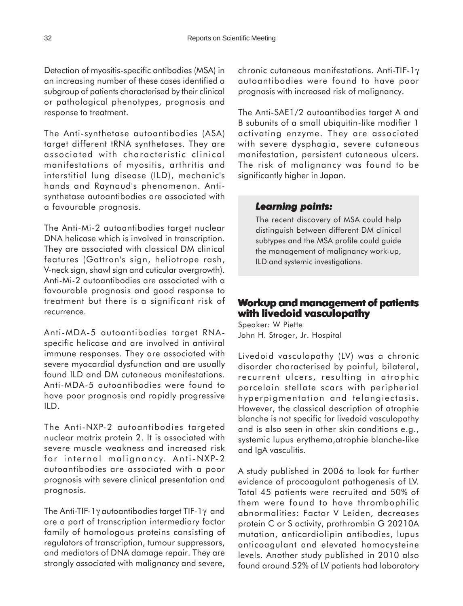Detection of myositis-specific antibodies (MSA) in an increasing number of these cases identified a subgroup of patients characterised by their clinical or pathological phenotypes, prognosis and response to treatment.

The Anti-synthetase autoantibodies (ASA) target different tRNA synthetases. They are associated with characteristic clinical manifestations of myositis, arthritis and interstitial lung disease (ILD), mechanic's hands and Raynaud's phenomenon. Antisynthetase autoantibodies are associated with a favourable prognosis.

The Anti-Mi-2 autoantibodies target nuclear DNA helicase which is involved in transcription. They are associated with classical DM clinical features (Gottron's sign, heliotrope rash, V-neck sign, shawl sign and cuticular overgrowth). Anti-Mi-2 autoantibodies are associated with a favourable prognosis and good response to treatment but there is a significant risk of recurrence.

Anti-MDA-5 autoantibodies target RNAspecific helicase and are involved in antiviral immune responses. They are associated with severe myocardial dysfunction and are usually found ILD and DM cutaneous manifestations. Anti-MDA-5 autoantibodies were found to have poor prognosis and rapidly progressive ILD.

The Anti-NXP-2 autoantibodies targeted nuclear matrix protein 2. It is associated with severe muscle weakness and increased risk for internal malignancy. Anti-NXP-2 autoantibodies are associated with a poor prognosis with severe clinical presentation and prognosis.

The Anti-TIF-1γ autoantibodies target TIF-1γ and are a part of transcription intermediary factor family of homologous proteins consisting of regulators of transcription, tumour suppressors, and mediators of DNA damage repair. They are strongly associated with malignancy and severe,

chronic cutaneous manifestations. Anti-TIF-1γ autoantibodies were found to have poor prognosis with increased risk of malignancy.

The Anti-SAE1/2 autoantibodies target A and B subunits of a small ubiquitin-like modifier 1 activating enzyme. They are associated with severe dysphagia, severe cutaneous manifestation, persistent cutaneous ulcers. The risk of malignancy was found to be significantly higher in Japan.

#### *Learning points: Learning points:*

The recent discovery of MSA could help distinguish between different DM clinical subtypes and the MSA profile could guide the management of malignancy work-up, ILD and systemic investigations.

# **Workup and management of patients with livedoid vasculopathy**

Speaker: W Piette John H. Stroger, Jr. Hospital

Livedoid vasculopathy (LV) was a chronic disorder characterised by painful, bilateral, recurrent ulcers, resulting in atrophic porcelain stellate scars with peripherial hyperpigmentation and telangiectasis. However, the classical description of atrophie blanche is not specific for livedoid vasculopathy and is also seen in other skin conditions e.g., systemic lupus erythema,atrophie blanche-like and IgA vasculitis.

A study published in 2006 to look for further evidence of procoagulant pathogenesis of LV. Total 45 patients were recruited and 50% of them were found to have thrombophilic abnormalities: Factor V Leiden, decreases protein C or S activity, prothrombin G 20210A mutation, anticardiolipin antibodies, lupus anticoagulant and elevated homocysteine levels. Another study published in 2010 also found around 52% of LV patients had laboratory